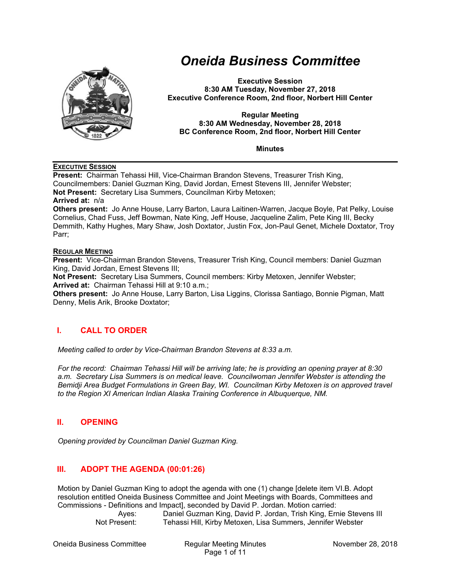

# *Oneida Business Committee*

**Executive Session 8:30 AM Tuesday, November 27, 2018 Executive Conference Room, 2nd floor, Norbert Hill Center** 

#### **Regular Meeting 8:30 AM Wednesday, November 28, 2018 BC Conference Room, 2nd floor, Norbert Hill Center**

**Minutes** 

## **EXECUTIVE SESSION**

**Present:** Chairman Tehassi Hill, Vice-Chairman Brandon Stevens, Treasurer Trish King, Councilmembers: Daniel Guzman King, David Jordan, Ernest Stevens III, Jennifer Webster; **Not Present:** Secretary Lisa Summers, Councilman Kirby Metoxen; **Arrived at:** n/a **Others present:** Jo Anne House, Larry Barton, Laura Laitinen-Warren, Jacque Boyle, Pat Pelky, Louise Cornelius, Chad Fuss, Jeff Bowman, Nate King, Jeff House, Jacqueline Zalim, Pete King III, Becky Demmith, Kathy Hughes, Mary Shaw, Josh Doxtator, Justin Fox, Jon-Paul Genet, Michele Doxtator, Troy

**REGULAR MEETING**

Parr;

**Present:** Vice-Chairman Brandon Stevens, Treasurer Trish King, Council members: Daniel Guzman King, David Jordan, Ernest Stevens III;

**Not Present:** Secretary Lisa Summers, Council members: Kirby Metoxen, Jennifer Webster; **Arrived at:** Chairman Tehassi Hill at 9:10 a.m.;

**Others present:** Jo Anne House, Larry Barton, Lisa Liggins, Clorissa Santiago, Bonnie Pigman, Matt Denny, Melis Arik, Brooke Doxtator;

# **I. CALL TO ORDER**

*Meeting called to order by Vice-Chairman Brandon Stevens at 8:33 a.m.* 

*For the record: Chairman Tehassi Hill will be arriving late; he is providing an opening prayer at 8:30 a.m. Secretary Lisa Summers is on medical leave. Councilwoman Jennifer Webster is attending the Bemidji Area Budget Formulations in Green Bay, WI. Councilman Kirby Metoxen is on approved travel to the Region XI American Indian Alaska Training Conference in Albuquerque, NM.* 

# **II. OPENING**

*Opening provided by Councilman Daniel Guzman King.* 

# **III. ADOPT THE AGENDA (00:01:26)**

Motion by Daniel Guzman King to adopt the agenda with one (1) change [delete item VI.B. Adopt resolution entitled Oneida Business Committee and Joint Meetings with Boards, Committees and Commissions - Definitions and Impact], seconded by David P. Jordan. Motion carried:

 Ayes: Daniel Guzman King, David P. Jordan, Trish King, Ernie Stevens III Not Present: Tehassi Hill, Kirby Metoxen, Lisa Summers, Jennifer Webster

Oneida Business Committee Regular Meeting Minutes November 28, 2018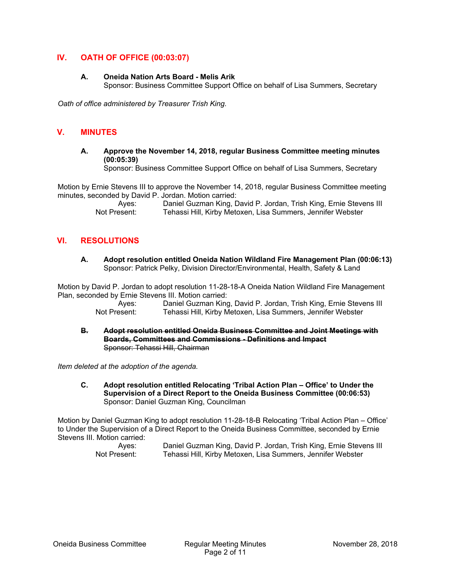# **IV. OATH OF OFFICE (00:03:07)**

## **A. Oneida Nation Arts Board - Melis Arik**

Sponsor: Business Committee Support Office on behalf of Lisa Summers, Secretary

*Oath of office administered by Treasurer Trish King.* 

# **V. MINUTES**

**A. Approve the November 14, 2018, regular Business Committee meeting minutes (00:05:39)** 

Sponsor: Business Committee Support Office on behalf of Lisa Summers, Secretary

Motion by Ernie Stevens III to approve the November 14, 2018, regular Business Committee meeting minutes, seconded by David P. Jordan. Motion carried:

| Aves:        | Daniel Guzman King, David P. Jordan, Trish King, Ernie Stevens III |
|--------------|--------------------------------------------------------------------|
| Not Present: | Tehassi Hill, Kirby Metoxen, Lisa Summers, Jennifer Webster        |

## **VI. RESOLUTIONS**

**A. Adopt resolution entitled Oneida Nation Wildland Fire Management Plan (00:06:13)**  Sponsor: Patrick Pelky, Division Director/Environmental, Health, Safety & Land

Motion by David P. Jordan to adopt resolution 11-28-18-A Oneida Nation Wildland Fire Management Plan, seconded by Ernie Stevens III. Motion carried:

Ayes: Daniel Guzman King, David P. Jordan, Trish King, Ernie Stevens III<br>Not Present: Tehassi Hill. Kirby Metoxen. Lisa Summers. Jennifer Webster Tehassi Hill, Kirby Metoxen, Lisa Summers, Jennifer Webster

**B. Adopt resolution entitled Oneida Business Committee and Joint Meetings with Boards, Committees and Commissions - Definitions and Impact**  Sponsor: Tehassi Hill, Chairman

*Item deleted at the adoption of the agenda.* 

**C. Adopt resolution entitled Relocating 'Tribal Action Plan – Office' to Under the Supervision of a Direct Report to the Oneida Business Committee (00:06:53)**  Sponsor: Daniel Guzman King, Councilman

Motion by Daniel Guzman King to adopt resolution 11-28-18-B Relocating 'Tribal Action Plan – Office' to Under the Supervision of a Direct Report to the Oneida Business Committee, seconded by Ernie Stevens III. Motion carried:

| Aves:        | Daniel Guzman King, David P. Jordan, Trish King, Ernie Stevens III |
|--------------|--------------------------------------------------------------------|
| Not Present: | Tehassi Hill, Kirby Metoxen, Lisa Summers, Jennifer Webster        |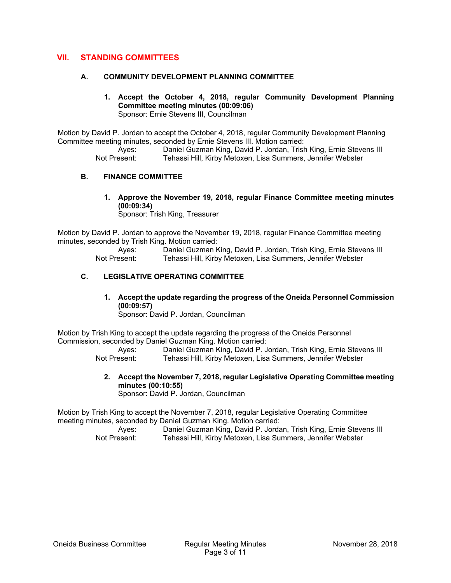## **VII. STANDING COMMITTEES**

## **A. COMMUNITY DEVELOPMENT PLANNING COMMITTEE**

**1. Accept the October 4, 2018, regular Community Development Planning Committee meeting minutes (00:09:06)**  Sponsor: Ernie Stevens III, Councilman

Motion by David P. Jordan to accept the October 4, 2018, regular Community Development Planning Committee meeting minutes, seconded by Ernie Stevens III. Motion carried:

> Ayes: Daniel Guzman King, David P. Jordan, Trish King, Ernie Stevens III<br>Not Present: Tehassi Hill Kirby Metoxen I isa Summers Jennifer Webster Tehassi Hill, Kirby Metoxen, Lisa Summers, Jennifer Webster

## **B. FINANCE COMMITTEE**

**1. Approve the November 19, 2018, regular Finance Committee meeting minutes (00:09:34)** 

Sponsor: Trish King, Treasurer

Motion by David P. Jordan to approve the November 19, 2018, regular Finance Committee meeting minutes, seconded by Trish King. Motion carried:

> Ayes: Daniel Guzman King, David P. Jordan, Trish King, Ernie Stevens III Not Present: Tehassi Hill, Kirby Metoxen, Lisa Summers, Jennifer Webster

## **C. LEGISLATIVE OPERATING COMMITTEE**

**1. Accept the update regarding the progress of the Oneida Personnel Commission (00:09:57)** 

Sponsor: David P. Jordan, Councilman

Motion by Trish King to accept the update regarding the progress of the Oneida Personnel Commission, seconded by Daniel Guzman King. Motion carried:

 Ayes: Daniel Guzman King, David P. Jordan, Trish King, Ernie Stevens III Not Present: Tehassi Hill, Kirby Metoxen, Lisa Summers, Jennifer Webster

**2. Accept the November 7, 2018, regular Legislative Operating Committee meeting minutes (00:10:55)**  Sponsor: David P. Jordan, Councilman

Motion by Trish King to accept the November 7, 2018, regular Legislative Operating Committee meeting minutes, seconded by Daniel Guzman King. Motion carried:

 Ayes: Daniel Guzman King, David P. Jordan, Trish King, Ernie Stevens III Not Present: Tehassi Hill, Kirby Metoxen, Lisa Summers, Jennifer Webster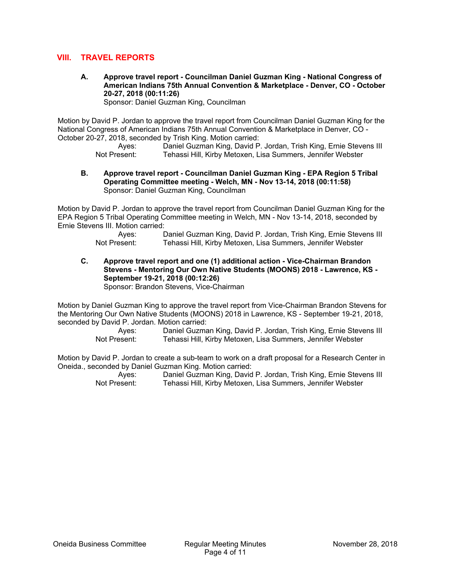## **VIII. TRAVEL REPORTS**

**A. Approve travel report - Councilman Daniel Guzman King - National Congress of American Indians 75th Annual Convention & Marketplace - Denver, CO - October 20-27, 2018 (00:11:26)** 

Sponsor: Daniel Guzman King, Councilman

Motion by David P. Jordan to approve the travel report from Councilman Daniel Guzman King for the National Congress of American Indians 75th Annual Convention & Marketplace in Denver, CO - October 20-27, 2018, seconded by Trish King. Motion carried:

Ayes: Daniel Guzman King, David P. Jordan, Trish King, Ernie Stevens III<br>Not Present: Tehassi Hill. Kirby Metoxen. Lisa Summers. Jennifer Webster Tehassi Hill, Kirby Metoxen, Lisa Summers, Jennifer Webster

#### **B. Approve travel report - Councilman Daniel Guzman King - EPA Region 5 Tribal Operating Committee meeting - Welch, MN - Nov 13-14, 2018 (00:11:58)**  Sponsor: Daniel Guzman King, Councilman

Motion by David P. Jordan to approve the travel report from Councilman Daniel Guzman King for the EPA Region 5 Tribal Operating Committee meeting in Welch, MN - Nov 13-14, 2018, seconded by Ernie Stevens III. Motion carried:

Ayes: Daniel Guzman King, David P. Jordan, Trish King, Ernie Stevens III<br>Not Present: Tehassi Hill. Kirby Metoxen. Lisa Summers. Jennifer Webster Tehassi Hill, Kirby Metoxen, Lisa Summers, Jennifer Webster

**C. Approve travel report and one (1) additional action - Vice-Chairman Brandon Stevens - Mentoring Our Own Native Students (MOONS) 2018 - Lawrence, KS - September 19-21, 2018 (00:12:26)** 

Sponsor: Brandon Stevens, Vice-Chairman

Motion by Daniel Guzman King to approve the travel report from Vice-Chairman Brandon Stevens for the Mentoring Our Own Native Students (MOONS) 2018 in Lawrence, KS - September 19-21, 2018, seconded by David P. Jordan. Motion carried:

> Ayes: Daniel Guzman King, David P. Jordan, Trish King, Ernie Stevens III Not Present: Tehassi Hill, Kirby Metoxen, Lisa Summers, Jennifer Webster

Motion by David P. Jordan to create a sub-team to work on a draft proposal for a Research Center in Oneida., seconded by Daniel Guzman King. Motion carried:

 Ayes: Daniel Guzman King, David P. Jordan, Trish King, Ernie Stevens III Not Present: Tehassi Hill, Kirby Metoxen, Lisa Summers, Jennifer Webster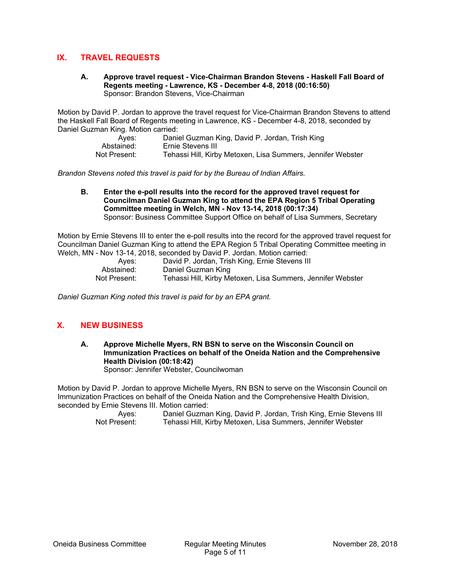# **IX. TRAVEL REQUESTS**

**A. Approve travel request - Vice-Chairman Brandon Stevens - Haskell Fall Board of Regents meeting - Lawrence, KS - December 4-8, 2018 (00:16:50)**  Sponsor: Brandon Stevens, Vice-Chairman

Motion by David P. Jordan to approve the travel request for Vice-Chairman Brandon Stevens to attend the Haskell Fall Board of Regents meeting in Lawrence, KS - December 4-8, 2018, seconded by Daniel Guzman King. Motion carried:

| Aves:        | Daniel Guzman King, David P. Jordan, Trish King             |
|--------------|-------------------------------------------------------------|
| Abstained:   | Ernie Stevens III                                           |
| Not Present: | Tehassi Hill, Kirby Metoxen, Lisa Summers, Jennifer Webster |

*Brandon Stevens noted this travel is paid for by the Bureau of Indian Affairs.* 

**B. Enter the e-poll results into the record for the approved travel request for Councilman Daniel Guzman King to attend the EPA Region 5 Tribal Operating Committee meeting in Welch, MN - Nov 13-14, 2018 (00:17:34)**  Sponsor: Business Committee Support Office on behalf of Lisa Summers, Secretary

Motion by Ernie Stevens III to enter the e-poll results into the record for the approved travel request for Councilman Daniel Guzman King to attend the EPA Region 5 Tribal Operating Committee meeting in Welch, MN - Nov 13-14, 2018, seconded by David P. Jordan. Motion carried:

|              | <u>WODI, MIN - NOW TO-TH, ZO TO, SCCONDOU DY DAVIOL . JOHAAN. MONON CANICA.</u> |
|--------------|---------------------------------------------------------------------------------|
| Aves:        | David P. Jordan, Trish King, Ernie Stevens III                                  |
| Abstained:   | Daniel Guzman King                                                              |
| Not Present: | Tehassi Hill, Kirby Metoxen, Lisa Summers, Jennifer Webster                     |

*Daniel Guzman King noted this travel is paid for by an EPA grant.* 

# **X. NEW BUSINESS**

**A. Approve Michelle Myers, RN BSN to serve on the Wisconsin Council on Immunization Practices on behalf of the Oneida Nation and the Comprehensive Health Division (00:18:42)**  Sponsor: Jennifer Webster, Councilwoman

Motion by David P. Jordan to approve Michelle Myers, RN BSN to serve on the Wisconsin Council on Immunization Practices on behalf of the Oneida Nation and the Comprehensive Health Division, seconded by Ernie Stevens III. Motion carried:

> Ayes: Daniel Guzman King, David P. Jordan, Trish King, Ernie Stevens III Not Present: Tehassi Hill, Kirby Metoxen, Lisa Summers, Jennifer Webster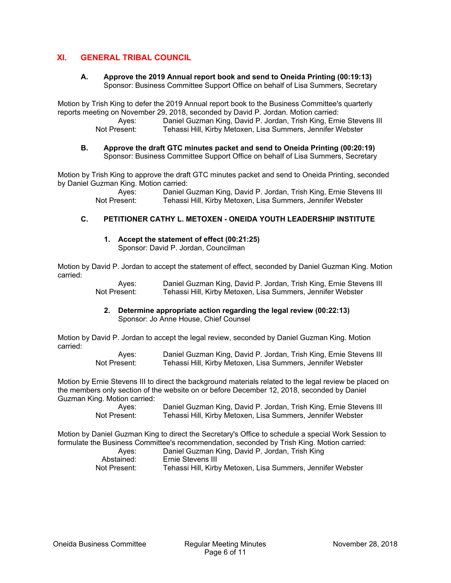# **XI. GENERAL TRIBAL COUNCIL**

## **A. Approve the 2019 Annual report book and send to Oneida Printing (00:19:13)**  Sponsor: Business Committee Support Office on behalf of Lisa Summers, Secretary

Motion by Trish King to defer the 2019 Annual report book to the Business Committee's quarterly reports meeting on November 29, 2018, seconded by David P. Jordan. Motion carried:

> Ayes: Daniel Guzman King, David P. Jordan, Trish King, Ernie Stevens III<br>Not Present: Tehassi Hill. Kirby Metoxen. Lisa Summers. Jennifer Webster Tehassi Hill, Kirby Metoxen, Lisa Summers, Jennifer Webster

#### **B. Approve the draft GTC minutes packet and send to Oneida Printing (00:20:19)**  Sponsor: Business Committee Support Office on behalf of Lisa Summers, Secretary

Motion by Trish King to approve the draft GTC minutes packet and send to Oneida Printing, seconded by Daniel Guzman King. Motion carried:

> Ayes: Daniel Guzman King, David P. Jordan, Trish King, Ernie Stevens III Not Present: Tehassi Hill, Kirby Metoxen, Lisa Summers, Jennifer Webster

# **C. PETITIONER CATHY L. METOXEN - ONEIDA YOUTH LEADERSHIP INSTITUTE**

**1. Accept the statement of effect (00:21:25)** 

Sponsor: David P. Jordan, Councilman

Motion by David P. Jordan to accept the statement of effect, seconded by Daniel Guzman King. Motion carried:

> Ayes: Daniel Guzman King, David P. Jordan, Trish King, Ernie Stevens III Not Present: Tehassi Hill, Kirby Metoxen, Lisa Summers, Jennifer Webster

## **2. Determine appropriate action regarding the legal review (00:22:13)**  Sponsor: Jo Anne House, Chief Counsel

Motion by David P. Jordan to accept the legal review, seconded by Daniel Guzman King. Motion carried:

| Aves:        | Daniel Guzman King, David P. Jordan, Trish King, Ernie Stevens III |
|--------------|--------------------------------------------------------------------|
| Not Present: | Tehassi Hill, Kirby Metoxen, Lisa Summers, Jennifer Webster        |

Motion by Ernie Stevens III to direct the background materials related to the legal review be placed on the members only section of the website on or before December 12, 2018, seconded by Daniel Guzman King. Motion carried:

> Ayes: Daniel Guzman King, David P. Jordan, Trish King, Ernie Stevens III Not Present: Tehassi Hill, Kirby Metoxen, Lisa Summers, Jennifer Webster

Motion by Daniel Guzman King to direct the Secretary's Office to schedule a special Work Session to formulate the Business Committee's recommendation, seconded by Trish King. Motion carried:

| Aves:        | Daniel Guzman King, David P. Jordan, Trish King             |
|--------------|-------------------------------------------------------------|
| Abstained:   | Ernie Stevens III                                           |
| Not Present: | Tehassi Hill, Kirby Metoxen, Lisa Summers, Jennifer Webster |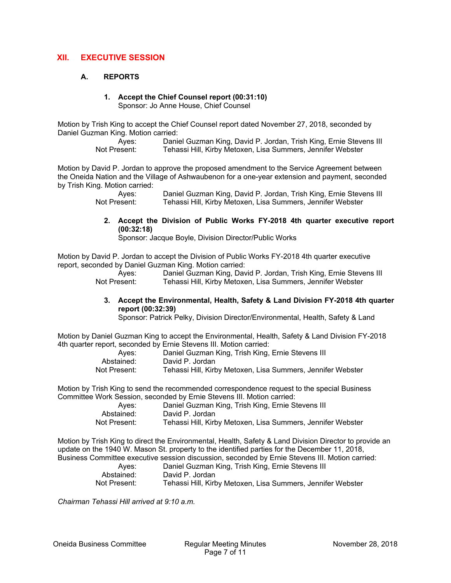# **XII. EXECUTIVE SESSION**

## **A. REPORTS**

# **1. Accept the Chief Counsel report (00:31:10)**

Sponsor: Jo Anne House, Chief Counsel

Motion by Trish King to accept the Chief Counsel report dated November 27, 2018, seconded by Daniel Guzman King. Motion carried:

> Ayes: Daniel Guzman King, David P. Jordan, Trish King, Ernie Stevens III Not Present: Tehassi Hill, Kirby Metoxen, Lisa Summers, Jennifer Webster

Motion by David P. Jordan to approve the proposed amendment to the Service Agreement between the Oneida Nation and the Village of Ashwaubenon for a one-year extension and payment, seconded by Trish King. Motion carried:

> Ayes: Daniel Guzman King, David P. Jordan, Trish King, Ernie Stevens III<br>Not Present: Tehassi Hill. Kirby Metoxen. Lisa Summers. Jennifer Webster Tehassi Hill, Kirby Metoxen, Lisa Summers, Jennifer Webster

**2. Accept the Division of Public Works FY-2018 4th quarter executive report (00:32:18)** 

Sponsor: Jacque Boyle, Division Director/Public Works

Motion by David P. Jordan to accept the Division of Public Works FY-2018 4th quarter executive report, seconded by Daniel Guzman King. Motion carried:

 Ayes: Daniel Guzman King, David P. Jordan, Trish King, Ernie Stevens III Not Present: Tehassi Hill, Kirby Metoxen, Lisa Summers, Jennifer Webster

#### **3. Accept the Environmental, Health, Safety & Land Division FY-2018 4th quarter report (00:32:39)**

Sponsor: Patrick Pelky, Division Director/Environmental, Health, Safety & Land

Motion by Daniel Guzman King to accept the Environmental, Health, Safety & Land Division FY-2018 4th quarter report, seconded by Ernie Stevens III. Motion carried:

| Aves:        | Daniel Guzman King, Trish King, Ernie Stevens III           |
|--------------|-------------------------------------------------------------|
| Abstained:   | David P. Jordan                                             |
| Not Present: | Tehassi Hill, Kirby Metoxen, Lisa Summers, Jennifer Webster |

Motion by Trish King to send the recommended correspondence request to the special Business Committee Work Session, seconded by Ernie Stevens III. Motion carried:

| Aves:        | Daniel Guzman King, Trish King, Ernie Stevens III           |
|--------------|-------------------------------------------------------------|
| Abstained:   | David P. Jordan                                             |
| Not Present: | Tehassi Hill, Kirby Metoxen, Lisa Summers, Jennifer Webster |

Motion by Trish King to direct the Environmental, Health, Safety & Land Division Director to provide an update on the 1940 W. Mason St. property to the identified parties for the December 11, 2018, Business Committee executive session discussion, seconded by Ernie Stevens III. Motion carried:

| Aves:        | Daniel Guzman King, Trish King, Ernie Stevens III           |
|--------------|-------------------------------------------------------------|
| Abstained:   | David P. Jordan                                             |
| Not Present: | Tehassi Hill, Kirby Metoxen, Lisa Summers, Jennifer Webster |

*Chairman Tehassi Hill arrived at 9:10 a.m.*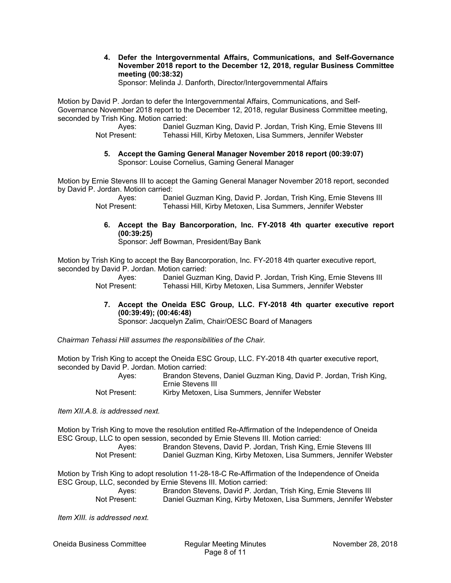**4. Defer the Intergovernmental Affairs, Communications, and Self-Governance November 2018 report to the December 12, 2018, regular Business Committee meeting (00:38:32)** 

Sponsor: Melinda J. Danforth, Director/Intergovernmental Affairs

Motion by David P. Jordan to defer the Intergovernmental Affairs, Communications, and Self-Governance November 2018 report to the December 12, 2018, regular Business Committee meeting, seconded by Trish King. Motion carried:

> Ayes: Daniel Guzman King, David P. Jordan, Trish King, Ernie Stevens III Not Present: Tehassi Hill, Kirby Metoxen, Lisa Summers, Jennifer Webster

**5. Accept the Gaming General Manager November 2018 report (00:39:07)**  Sponsor: Louise Cornelius, Gaming General Manager

Motion by Ernie Stevens III to accept the Gaming General Manager November 2018 report, seconded by David P. Jordan. Motion carried:

> Ayes: Daniel Guzman King, David P. Jordan, Trish King, Ernie Stevens III Not Present: Tehassi Hill, Kirby Metoxen, Lisa Summers, Jennifer Webster

**6. Accept the Bay Bancorporation, Inc. FY-2018 4th quarter executive report (00:39:25)** 

Sponsor: Jeff Bowman, President/Bay Bank

Motion by Trish King to accept the Bay Bancorporation, Inc. FY-2018 4th quarter executive report, seconded by David P. Jordan. Motion carried:

 Ayes: Daniel Guzman King, David P. Jordan, Trish King, Ernie Stevens III Not Present: Tehassi Hill, Kirby Metoxen, Lisa Summers, Jennifer Webster

**7. Accept the Oneida ESC Group, LLC. FY-2018 4th quarter executive report (00:39:49); (00:46:48)** 

Sponsor: Jacquelyn Zalim, Chair/OESC Board of Managers

*Chairman Tehassi Hill assumes the responsibilities of the Chair.* 

Motion by Trish King to accept the Oneida ESC Group, LLC. FY-2018 4th quarter executive report, seconded by David P. Jordan. Motion carried:

 Ayes: Brandon Stevens, Daniel Guzman King, David P. Jordan, Trish King, Ernie Stevens III

Not Present: Kirby Metoxen, Lisa Summers, Jennifer Webster

*Item XII.A.8. is addressed next.* 

Motion by Trish King to move the resolution entitled Re-Affirmation of the Independence of Oneida ESC Group, LLC to open session, seconded by Ernie Stevens III. Motion carried:

 Ayes: Brandon Stevens, David P. Jordan, Trish King, Ernie Stevens III Not Present: Daniel Guzman King, Kirby Metoxen, Lisa Summers, Jennifer Webster

Motion by Trish King to adopt resolution 11-28-18-C Re-Affirmation of the Independence of Oneida ESC Group, LLC, seconded by Ernie Stevens III. Motion carried:

 Ayes: Brandon Stevens, David P. Jordan, Trish King, Ernie Stevens III Not Present: Daniel Guzman King, Kirby Metoxen, Lisa Summers, Jennifer Webster

*Item XIII. is addressed next.* 

Oneida Business Committee Regular Meeting Minutes November 28, 2018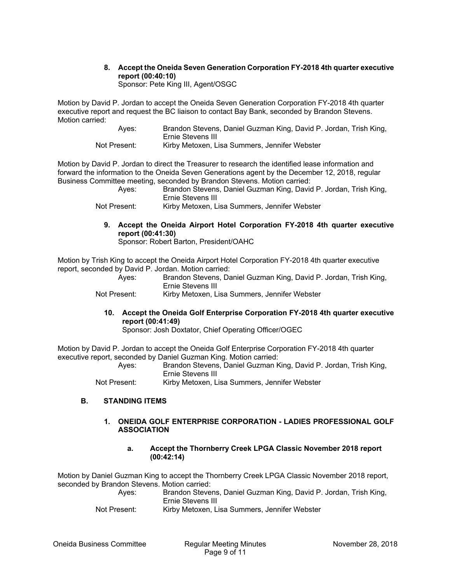# **8. Accept the Oneida Seven Generation Corporation FY-2018 4th quarter executive report (00:40:10)**

Sponsor: Pete King III, Agent/OSGC

Motion by David P. Jordan to accept the Oneida Seven Generation Corporation FY-2018 4th quarter executive report and request the BC liaison to contact Bay Bank, seconded by Brandon Stevens. Motion carried:

| Aves: | Brandon Stevens, Daniel Guzman King, David P. Jordan, Trish King, |
|-------|-------------------------------------------------------------------|
|       | Ernie Stevens III                                                 |
|       |                                                                   |

Not Present: Kirby Metoxen, Lisa Summers, Jennifer Webster

Motion by David P. Jordan to direct the Treasurer to research the identified lease information and forward the information to the Oneida Seven Generations agent by the December 12, 2018, regular Business Committee meeting, seconded by Brandon Stevens. Motion carried:

- Ayes: Brandon Stevens, Daniel Guzman King, David P. Jordan, Trish King, Ernie Stevens III
- Not Present: Kirby Metoxen, Lisa Summers, Jennifer Webster
	- **9. Accept the Oneida Airport Hotel Corporation FY-2018 4th quarter executive report (00:41:30)**

Sponsor: Robert Barton, President/OAHC

Motion by Trish King to accept the Oneida Airport Hotel Corporation FY-2018 4th quarter executive report, seconded by David P. Jordan. Motion carried:

|       | Brandon Stevens, Daniel Guzman King, David P. Jordan, Trish King, |
|-------|-------------------------------------------------------------------|
| Aves: | Ernie Stevens III                                                 |
|       |                                                                   |

Not Present: Kirby Metoxen, Lisa Summers, Jennifer Webster

**10. Accept the Oneida Golf Enterprise Corporation FY-2018 4th quarter executive report (00:41:49)** 

Sponsor: Josh Doxtator, Chief Operating Officer/OGEC

Motion by David P. Jordan to accept the Oneida Golf Enterprise Corporation FY-2018 4th quarter executive report, seconded by Daniel Guzman King. Motion carried:

 Ayes: Brandon Stevens, Daniel Guzman King, David P. Jordan, Trish King, Ernie Stevens III

Not Present: Kirby Metoxen, Lisa Summers, Jennifer Webster

## **B. STANDING ITEMS**

## **1. ONEIDA GOLF ENTERPRISE CORPORATION - LADIES PROFESSIONAL GOLF ASSOCIATION**

**a. Accept the Thornberry Creek LPGA Classic November 2018 report (00:42:14)**

Motion by Daniel Guzman King to accept the Thornberry Creek LPGA Classic November 2018 report, seconded by Brandon Stevens. Motion carried:

 Ayes: Brandon Stevens, Daniel Guzman King, David P. Jordan, Trish King, Ernie Stevens III

Not Present: Kirby Metoxen, Lisa Summers, Jennifer Webster

Oneida Business Committee Regular Meeting Minutes November 28, 2018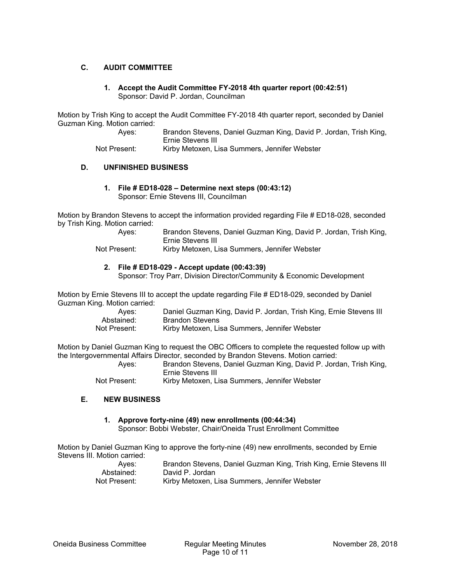## **C. AUDIT COMMITTEE**

**1. Accept the Audit Committee FY-2018 4th quarter report (00:42:51)**  Sponsor: David P. Jordan, Councilman

Motion by Trish King to accept the Audit Committee FY-2018 4th quarter report, seconded by Daniel Guzman King. Motion carried:

Not Present: Kirby Metoxen, Lisa Summers, Jennifer Webster

## **D. UNFINISHED BUSINESS**

**1. File # ED18-028 – Determine next steps (00:43:12)**  Sponsor: Ernie Stevens III, Councilman

Motion by Brandon Stevens to accept the information provided regarding File # ED18-028, seconded by Trish King. Motion carried:

| Aves:        | Brandon Stevens, Daniel Guzman King, David P. Jordan, Trish King, |
|--------------|-------------------------------------------------------------------|
|              | Ernie Stevens III                                                 |
| Not Drooppt. | Kirby Motovon Ling Summore Longifor Wohnter                       |

Not Present: Kirby Metoxen, Lisa Summers, Jennifer Webster

## **2. File # ED18-029 - Accept update (00:43:39)**

Sponsor: Troy Parr, Division Director/Community & Economic Development

Motion by Ernie Stevens III to accept the update regarding File # ED18-029, seconded by Daniel Guzman King. Motion carried:

| Aves:        | Daniel Guzman King, David P. Jordan, Trish King, Ernie Stevens III |
|--------------|--------------------------------------------------------------------|
| Abstained:   | Brandon Stevens                                                    |
| Not Present: | Kirby Metoxen, Lisa Summers, Jennifer Webster                      |

Motion by Daniel Guzman King to request the OBC Officers to complete the requested follow up with the Intergovernmental Affairs Director, seconded by Brandon Stevens. Motion carried:

 Ayes: Brandon Stevens, Daniel Guzman King, David P. Jordan, Trish King, Ernie Stevens III

Not Present: Kirby Metoxen, Lisa Summers, Jennifer Webster

#### **E. NEW BUSINESS**

## **1. Approve forty-nine (49) new enrollments (00:44:34)**

Sponsor: Bobbi Webster, Chair/Oneida Trust Enrollment Committee

Motion by Daniel Guzman King to approve the forty-nine (49) new enrollments, seconded by Ernie Stevens III. Motion carried:

| Aves:        | Brandon Stevens, Daniel Guzman King, Trish King, Ernie Stevens III |
|--------------|--------------------------------------------------------------------|
| Abstained:   | David P. Jordan                                                    |
| Not Present: | Kirby Metoxen, Lisa Summers, Jennifer Webster                      |